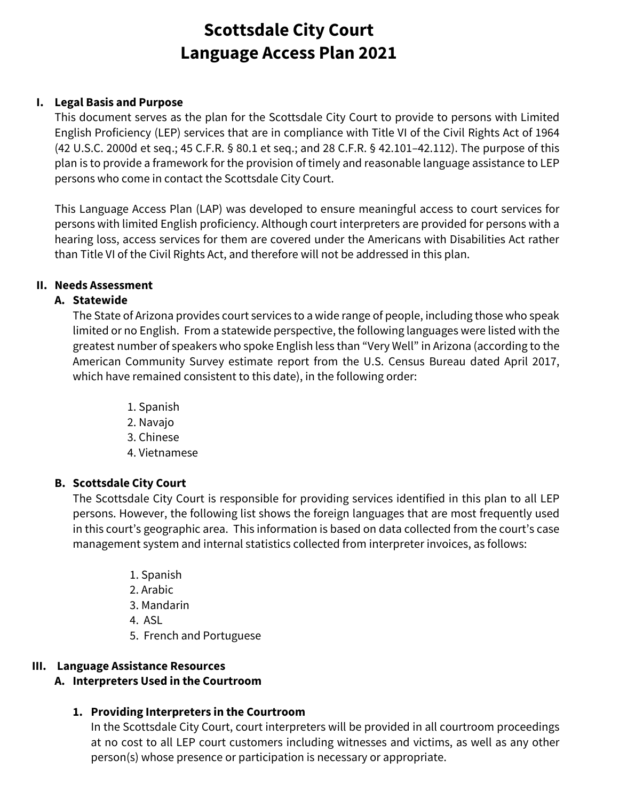## **I. Legal Basis and Purpose**

This document serves as the plan for the Scottsdale City Court to provide to persons with Limited English Proficiency (LEP) services that are in compliance with Title VI of the Civil Rights Act of 1964 (42 U.S.C. 2000d et seq.; 45 C.F.R. § 80.1 et seq.; and 28 C.F.R. § 42.101–42.112). The purpose of this plan is to provide a framework for the provision of timely and reasonable language assistance to LEP persons who come in contact the Scottsdale City Court.

This Language Access Plan (LAP) was developed to ensure meaningful access to court services for persons with limited English proficiency. Although court interpreters are provided for persons with a hearing loss, access services for them are covered under the Americans with Disabilities Act rather than Title VI of the Civil Rights Act, and therefore will not be addressed in this plan.

### **II. Needs Assessment**

### **A. Statewide**

The State of Arizona provides court services to a wide range of people, including those who speak limited or no English. From a statewide perspective, the following languages were listed with the greatest number of speakers who spoke English less than "Very Well" in Arizona (according to the American Community Survey estimate report from the U.S. Census Bureau dated April 2017, which have remained consistent to this date), in the following order:

> 1. Spanish 2. Navajo 3. Chinese 4. Vietnamese

## **B. Scottsdale City Court**

The Scottsdale City Court is responsible for providing services identified in this plan to all LEP persons. However, the following list shows the foreign languages that are most frequently used in this court's geographic area. This information is based on data collected from the court's case management system and internal statistics collected from interpreter invoices, as follows:

- 1. Spanish
- 2. Arabic
- 3. Mandarin
- 4. ASL
- 5. French and Portuguese

### **III. Language Assistance Resources**

## **A. Interpreters Used in the Courtroom**

## **1. Providing Interpreters in the Courtroom**

In the Scottsdale City Court, court interpreters will be provided in all courtroom proceedings at no cost to all LEP court customers including witnesses and victims, as well as any other person(s) whose presence or participation is necessary or appropriate.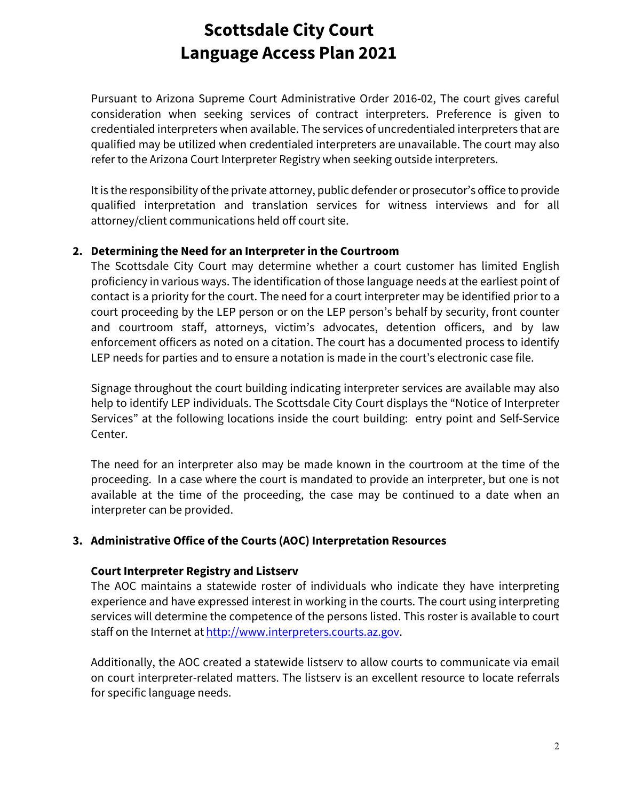Pursuant to Arizona Supreme Court Administrative Order 2016-02, The court gives careful consideration when seeking services of contract interpreters. Preference is given to credentialed interpreters when available. The services of uncredentialed interpreters that are qualified may be utilized when credentialed interpreters are unavailable. The court may also refer to the Arizona Court Interpreter Registry when seeking outside interpreters.

It is the responsibility of the private attorney, public defender or prosecutor's office to provide qualified interpretation and translation services for witness interviews and for all attorney/client communications held off court site.

### **2. Determining the Need for an Interpreter in the Courtroom**

The Scottsdale City Court may determine whether a court customer has limited English proficiency in various ways. The identification of those language needs at the earliest point of contact is a priority for the court. The need for a court interpreter may be identified prior to a court proceeding by the LEP person or on the LEP person's behalf by security, front counter and courtroom staff, attorneys, victim's advocates, detention officers, and by law enforcement officers as noted on a citation. The court has a documented process to identify LEP needs for parties and to ensure a notation is made in the court's electronic case file.

Signage throughout the court building indicating interpreter services are available may also help to identify LEP individuals. The Scottsdale City Court displays the "Notice of Interpreter Services" at the following locations inside the court building: entry point and Self-Service Center.

The need for an interpreter also may be made known in the courtroom at the time of the proceeding. In a case where the court is mandated to provide an interpreter, but one is not available at the time of the proceeding, the case may be continued to a date when an interpreter can be provided.

## **3. Administrative Office of the Courts (AOC) Interpretation Resources**

### **Court Interpreter Registry and Listserv**

The AOC maintains a statewide roster of individuals who indicate they have interpreting experience and have expressed interest in working in the courts. The court using interpreting services will determine the competence of the persons listed. This roster is available to court staff on the Internet at [http://www.interpreters.courts.az.gov.](http://www.interpreters.courts.az.gov/)

Additionally, the AOC created a statewide listserv to allow courts to communicate via email on court interpreter-related matters. The listserv is an excellent resource to locate referrals for specific language needs.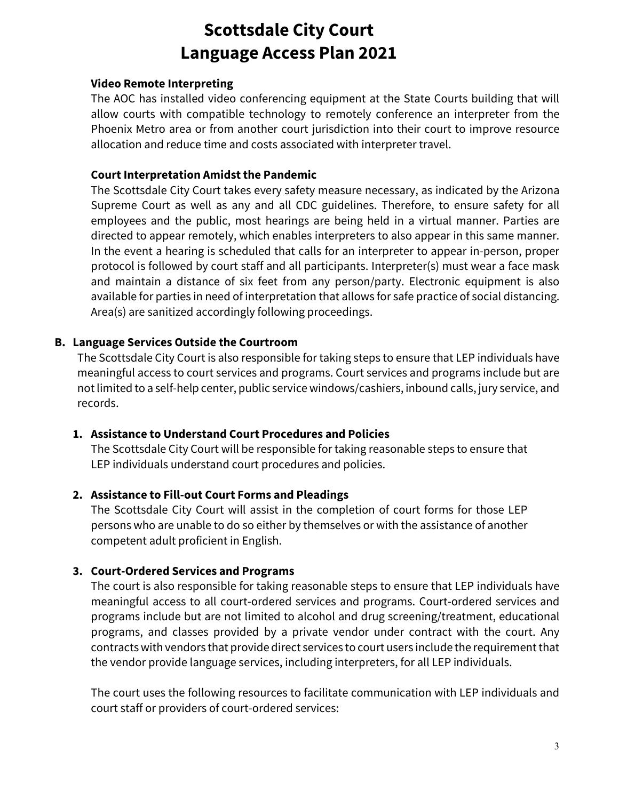### **Video Remote Interpreting**

The AOC has installed video conferencing equipment at the State Courts building that will allow courts with compatible technology to remotely conference an interpreter from the Phoenix Metro area or from another court jurisdiction into their court to improve resource allocation and reduce time and costs associated with interpreter travel.

### **Court Interpretation Amidst the Pandemic**

The Scottsdale City Court takes every safety measure necessary, as indicated by the Arizona Supreme Court as well as any and all CDC guidelines. Therefore, to ensure safety for all employees and the public, most hearings are being held in a virtual manner. Parties are directed to appear remotely, which enables interpreters to also appear in this same manner. In the event a hearing is scheduled that calls for an interpreter to appear in-person, proper protocol is followed by court staff and all participants. Interpreter(s) must wear a face mask and maintain a distance of six feet from any person/party. Electronic equipment is also available for parties in need of interpretation that allows for safe practice of social distancing. Area(s) are sanitized accordingly following proceedings.

### **B. Language Services Outside the Courtroom**

The Scottsdale City Court is also responsible for taking steps to ensure that LEP individuals have meaningful access to court services and programs. Court services and programs include but are not limited to a self-help center, public service windows/cashiers, inbound calls, jury service, and records.

### **1. Assistance to Understand Court Procedures and Policies**

The Scottsdale City Court will be responsible for taking reasonable steps to ensure that LEP individuals understand court procedures and policies.

### **2. Assistance to Fill-out Court Forms and Pleadings**

The Scottsdale City Court will assist in the completion of court forms for those LEP persons who are unable to do so either by themselves or with the assistance of another competent adult proficient in English.

### **3. Court-Ordered Services and Programs**

The court is also responsible for taking reasonable steps to ensure that LEP individuals have meaningful access to all court-ordered services and programs. Court-ordered services and programs include but are not limited to alcohol and drug screening/treatment, educational programs, and classes provided by a private vendor under contract with the court. Any contracts with vendors that provide direct services to court users include the requirement that the vendor provide language services, including interpreters, for all LEP individuals.

The court uses the following resources to facilitate communication with LEP individuals and court staff or providers of court-ordered services: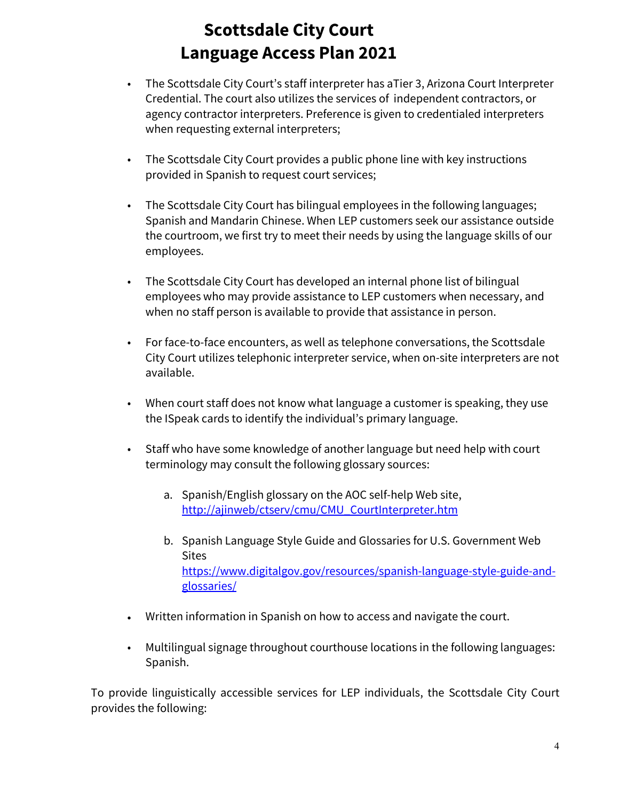- The Scottsdale City Court's staff interpreter has aTier 3, Arizona Court Interpreter Credential. The court also utilizes the services of independent contractors, or agency contractor interpreters. Preference is given to credentialed interpreters when requesting external interpreters;
- The Scottsdale City Court provides a public phone line with key instructions provided in Spanish to request court services;
- The Scottsdale City Court has bilingual employees in the following languages; Spanish and Mandarin Chinese. When LEP customers seek our assistance outside the courtroom, we first try to meet their needs by using the language skills of our employees.
- The Scottsdale City Court has developed an internal phone list of bilingual employees who may provide assistance to LEP customers when necessary, and when no staff person is available to provide that assistance in person.
- For face-to-face encounters, as well as telephone conversations, the Scottsdale City Court utilizes telephonic interpreter service, when on-site interpreters are not available.
- When court staff does not know what language a customer is speaking, they use the ISpeak cards to identify the individual's primary language.
- Staff who have some knowledge of another language but need help with court terminology may consult the following glossary sources:
	- a. Spanish/English glossary on the AOC self-help Web site, [http://ajinweb/ctserv/cmu/CMU\\_CourtInterpreter.htm](http://ajinweb/ctserv/cmu/CMU_CourtInterpreter.htm)
	- b. Spanish Language Style Guide and Glossaries for U.S. Government Web **Sites** [https://www.digitalgov.gov/resources/spanish-language-style-guide-and](https://www.digitalgov.gov/resources/spanish-language-style-guide-and-glossaries/)[glossaries/](https://www.digitalgov.gov/resources/spanish-language-style-guide-and-glossaries/)
- Written information in Spanish on how to access and navigate the court.
- Multilingual signage throughout courthouse locations in the following languages: Spanish.

To provide linguistically accessible services for LEP individuals, the Scottsdale City Court provides the following: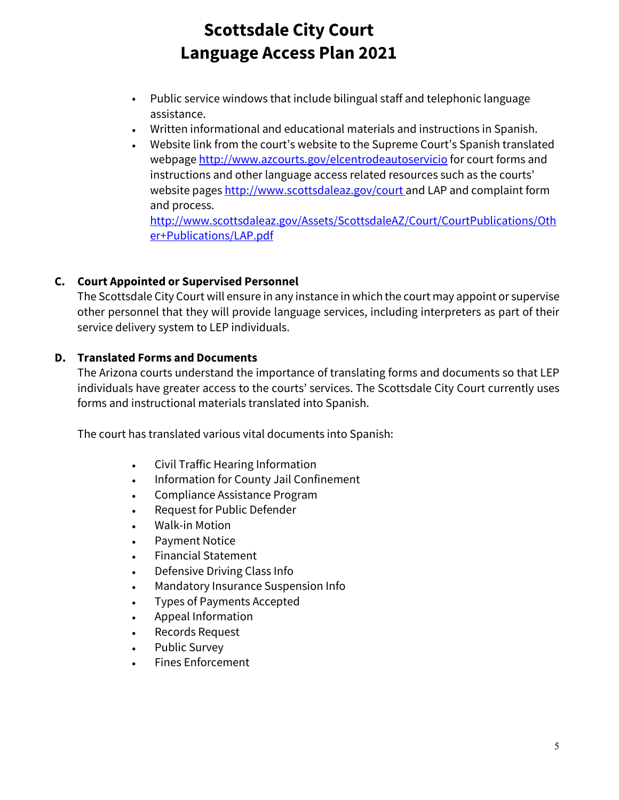- Public service windows that include bilingual staff and telephonic language assistance.
- Written informational and educational materials and instructions in Spanish.
- Website link from the court's website to the Supreme Court's Spanish translated webpage<http://www.azcourts.gov/elcentrodeautoservicio> for court forms and instructions and other language access related resources such as the courts' website pages [http://www.scottsdaleaz.gov/court](http://www.scottsdaleaz.gov/court/) and LAP and complaint form and process.

[http://www.scottsdaleaz.gov/Assets/ScottsdaleAZ/Court/CourtPublications/Oth](http://www.scottsdaleaz.gov/Assets/ScottsdaleAZ/Court/CourtPublications/Other+Publications/LAP.pdf) [er+Publications/LAP.pdf](http://www.scottsdaleaz.gov/Assets/ScottsdaleAZ/Court/CourtPublications/Other+Publications/LAP.pdf)

# **C. Court Appointed or Supervised Personnel**

The Scottsdale City Court will ensure in any instance in which the court may appoint or supervise other personnel that they will provide language services, including interpreters as part of their service delivery system to LEP individuals.

# **D. Translated Forms and Documents**

The Arizona courts understand the importance of translating forms and documents so that LEP individuals have greater access to the courts' services. The Scottsdale City Court currently uses forms and instructional materials translated into Spanish.

The court has translated various vital documents into Spanish:

- Civil Traffic Hearing Information
- Information for County Jail Confinement
- Compliance Assistance Program
- Request for Public Defender
- Walk-in Motion
- Payment Notice
- Financial Statement
- Defensive Driving Class Info
- Mandatory Insurance Suspension Info
- Types of Payments Accepted
- Appeal Information
- Records Request
- Public Survey
- Fines Enforcement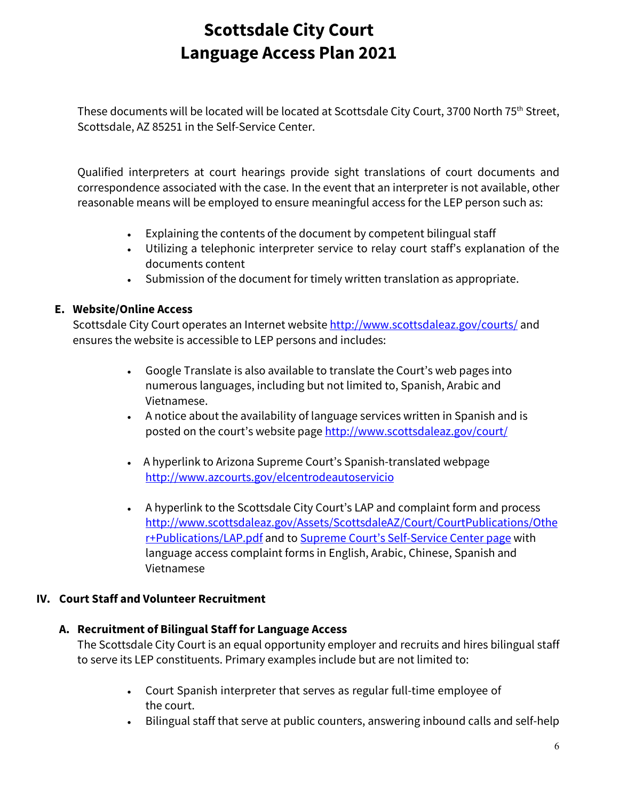These documents will be located will be located at Scottsdale City Court, 3700 North 75th Street, Scottsdale, AZ 85251 in the Self-Service Center.

Qualified interpreters at court hearings provide sight translations of court documents and correspondence associated with the case. In the event that an interpreter is not available, other reasonable means will be employed to ensure meaningful access for the LEP person such as:

- Explaining the contents of the document by competent bilingual staff
- Utilizing a telephonic interpreter service to relay court staff's explanation of the documents content
- Submission of the document for timely written translation as appropriate.

# **E. Website/Online Access**

Scottsdale City Court operates an Internet website<http://www.scottsdaleaz.gov/courts/> and ensures the website is accessible to LEP persons and includes:

- Google Translate is also available to translate the Court's web pages into numerous languages, including but not limited to, Spanish, Arabic and Vietnamese.
- A notice about the availability of language services written in Spanish and is posted on the court's website pag[e http://www.scottsdaleaz.gov/court/](http://www.scottsdaleaz.gov/court/)
- A hyperlink to Arizona Supreme Court's Spanish-translated webpage <http://www.azcourts.gov/elcentrodeautoservicio>
- A hyperlink to the Scottsdale City Court's LAP and complaint form and process [http://www.scottsdaleaz.gov/Assets/ScottsdaleAZ/Court/CourtPublications/Othe](http://www.scottsdaleaz.gov/Assets/ScottsdaleAZ/Court/CourtPublications/Other+Publications/LAP.pdf) [r+Publications/LAP.pdf](http://www.scottsdaleaz.gov/Assets/ScottsdaleAZ/Court/CourtPublications/Other+Publications/LAP.pdf) and to [Supreme Court's Self-Service Center page](https://www.azcourts.gov/selfservicecenter/Self-Service-Forms) with language access complaint forms in English, Arabic, Chinese, Spanish and Vietnamese

# **IV. Court Staff and Volunteer Recruitment**

## **A. Recruitment of Bilingual Staff for Language Access**

The Scottsdale City Court is an equal opportunity employer and recruits and hires bilingual staff to serve its LEP constituents. Primary examples include but are not limited to:

- Court Spanish interpreter that serves as regular full-time employee of the court.
- Bilingual staff that serve at public counters, answering inbound calls and self-help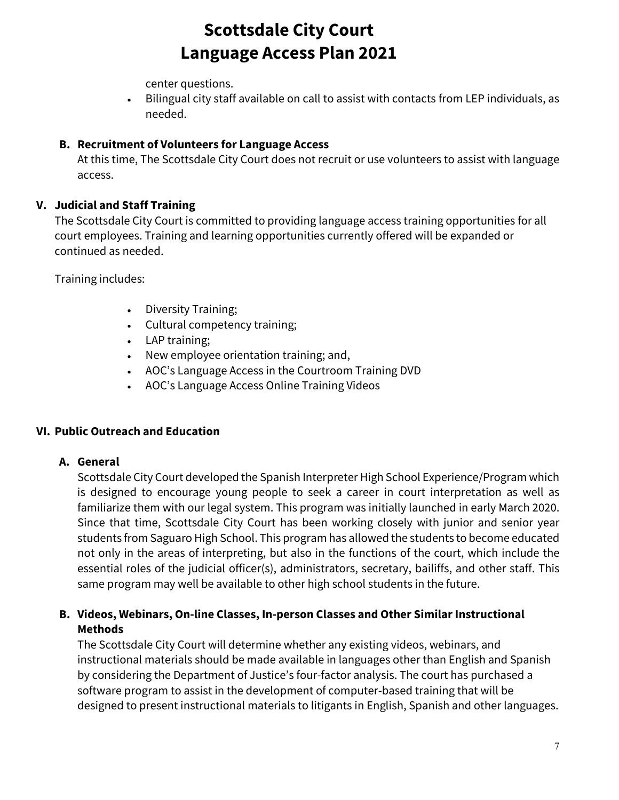center questions.

• Bilingual city staff available on call to assist with contacts from LEP individuals, as needed.

# **B. Recruitment of Volunteers for Language Access**

At this time, The Scottsdale City Court does not recruit or use volunteers to assist with language access.

# **V. Judicial and Staff Training**

The Scottsdale City Court is committed to providing language access training opportunities for all court employees. Training and learning opportunities currently offered will be expanded or continued as needed.

Training includes:

- Diversity Training;
- Cultural competency training;
- LAP training;
- New employee orientation training; and,
- AOC's Language Access in the Courtroom Training DVD
- AOC's Language Access Online Training Videos

## **VI. Public Outreach and Education**

## **A. General**

Scottsdale City Court developed the Spanish Interpreter High School Experience/Program which is designed to encourage young people to seek a career in court interpretation as well as familiarize them with our legal system. This program was initially launched in early March 2020. Since that time, Scottsdale City Court has been working closely with junior and senior year students from Saguaro High School. This program has allowed the students to become educated not only in the areas of interpreting, but also in the functions of the court, which include the essential roles of the judicial officer(s), administrators, secretary, bailiffs, and other staff. This same program may well be available to other high school students in the future.

## **B. Videos, Webinars, On-line Classes, In-person Classes and Other Similar Instructional Methods**

The Scottsdale City Court will determine whether any existing videos, webinars, and instructional materials should be made available in languages other than English and Spanish by considering the Department of Justice's four-factor analysis. The court has purchased a software program to assist in the development of computer-based training that will be designed to present instructional materials to litigants in English, Spanish and other languages.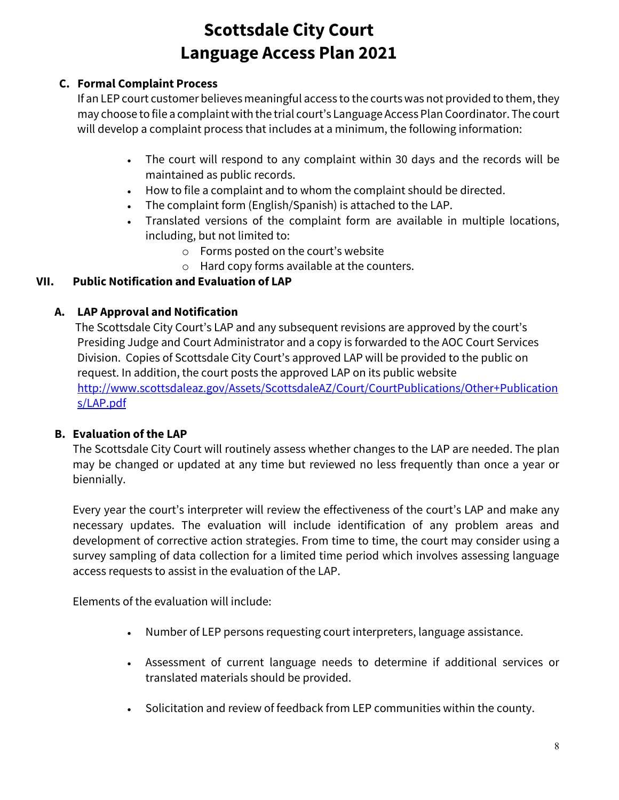# **C. Formal Complaint Process**

If an LEP court customer believes meaningful access to the courts was not provided to them, they may choose to file a complaint with the trial court's Language Access Plan Coordinator. The court will develop a complaint process that includes at a minimum, the following information:

- The court will respond to any complaint within 30 days and the records will be maintained as public records.
- How to file a complaint and to whom the complaint should be directed.
- The complaint form (English/Spanish) is attached to the LAP.
- Translated versions of the complaint form are available in multiple locations, including, but not limited to:
	- o Forms posted on the court's website
	- o Hard copy forms available at the counters.

# **VII. Public Notification and Evaluation of LAP**

# **A. LAP Approval and Notification**

The Scottsdale City Court's LAP and any subsequent revisions are approved by the court's Presiding Judge and Court Administrator and a copy is forwarded to the AOC Court Services Division. Copies of Scottsdale City Court's approved LAP will be provided to the public on request. In addition, the court posts the approved LAP on its public website [http://www.scottsdaleaz.gov/Assets/ScottsdaleAZ/Court/CourtPublications/Other+Publication](http://www.scottsdaleaz.gov/Assets/ScottsdaleAZ/Court/CourtPublications/Other+Publications/LAP.pdf) [s/LAP.pdf](http://www.scottsdaleaz.gov/Assets/ScottsdaleAZ/Court/CourtPublications/Other+Publications/LAP.pdf)

## **B. Evaluation of the LAP**

The Scottsdale City Court will routinely assess whether changes to the LAP are needed. The plan may be changed or updated at any time but reviewed no less frequently than once a year or biennially.

Every year the court's interpreter will review the effectiveness of the court's LAP and make any necessary updates. The evaluation will include identification of any problem areas and development of corrective action strategies. From time to time, the court may consider using a survey sampling of data collection for a limited time period which involves assessing language access requests to assist in the evaluation of the LAP.

Elements of the evaluation will include:

- Number of LEP persons requesting court interpreters, language assistance.
- Assessment of current language needs to determine if additional services or translated materials should be provided.
- Solicitation and review of feedback from LEP communities within the county.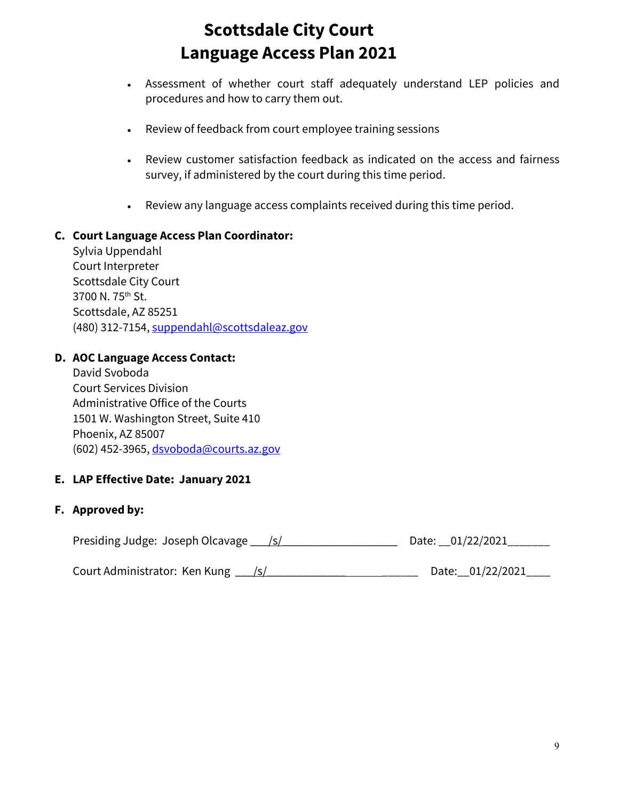- Assessment of whether court staff adequately understand LEP policies and procedures and how to carry them out.
- Review of feedback from court employee training sessions
- Review customer satisfaction feedback as indicated on the access and fairness survey, if administered by the court during this time period.
- Review any language access complaints received during this time period.

### **C. Court Language Access Plan Coordinator:**

Sylvia Uppendahl Court Interpreter Scottsdale City Court 3700 N. 75<sup>th</sup> St. Scottsdale, AZ 85251 (480) 312-7154[, suppendahl@scottsdaleaz.gov](mailto:suppendahl@scottsdaleaz.gov)

#### **D. AOC Language Access Contact:**

David Svoboda Court Services Division Administrative Office of the Courts 1501 W. Washington Street, Suite 410 Phoenix, AZ 85007 (602) 452[-3965,](mailto:3965) [dsvoboda@courts.az.gov](mailto:dsvoboda@courts.az.gov)

### **E. LAP Effective Date: January 2021**

### **F. Approved by:**

Presiding Judge: Joseph Olcavage  $/$ s/ $/$ 

Court Administrator: Ken Kung \_\_\_/s/\_\_\_\_\_\_\_\_\_\_\_\_\_ \_\_\_\_\_\_ Date:\_\_01/22/2021\_\_\_\_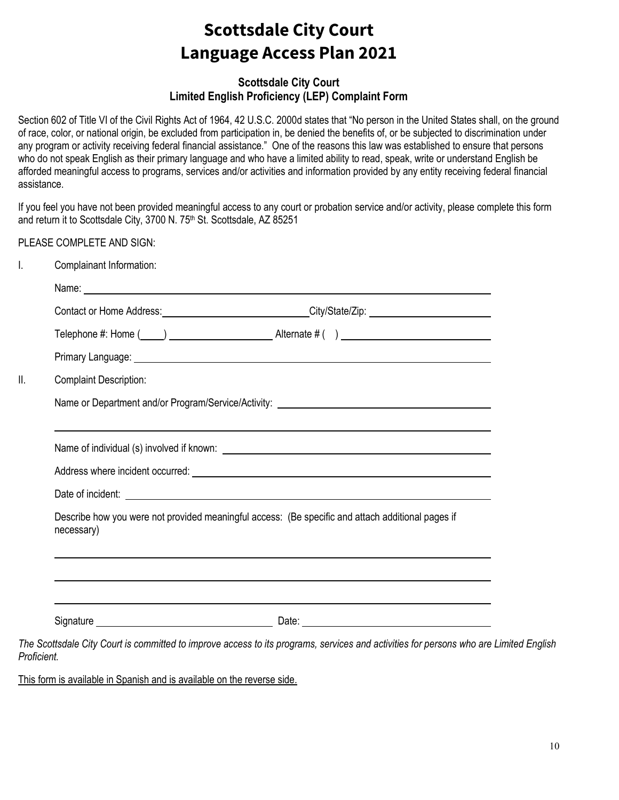### **Scottsdale City Court Limited English Proficiency (LEP) Complaint Form**

Section 602 of Title VI of the Civil Rights Act of 1964, 42 U.S.C. 2000d states that "No person in the United States shall, on the ground of race, color, or national origin, be excluded from participation in, be denied the benefits of, or be subjected to discrimination under any program or activity receiving federal financial assistance." One of the reasons this law was established to ensure that persons who do not speak English as their primary language and who have a limited ability to read, speak, write or understand English be afforded meaningful access to programs, services and/or activities and information provided by any entity receiving federal financial assistance.

If you feel you have not been provided meaningful access to any court or probation service and/or activity, please complete this form and return it to Scottsdale City, 3700 N. 75<sup>th</sup> St. Scottsdale, AZ 85251

PLEASE COMPLETE AND SIGN:

| Complainant Information:      |                                                                                                                                                                                                                               |
|-------------------------------|-------------------------------------------------------------------------------------------------------------------------------------------------------------------------------------------------------------------------------|
|                               | Name: Name: Name: Name: Name: Name: Name: Name: Name: Name: Name: Name: Name: Name: Name: Name: Name: Name: Name: Name: Name: Name: Name: Name: Name: Name: Name: Name: Name: Name: Name: Name: Name: Name: Name: Name: Name: |
|                               |                                                                                                                                                                                                                               |
|                               |                                                                                                                                                                                                                               |
|                               |                                                                                                                                                                                                                               |
| <b>Complaint Description:</b> |                                                                                                                                                                                                                               |
|                               | Name or Department and/or Program/Service/Activity: _____________________________                                                                                                                                             |
|                               | <u> 1989 - Andrea Andrew Maria (h. 1989).</u>                                                                                                                                                                                 |
|                               |                                                                                                                                                                                                                               |
|                               |                                                                                                                                                                                                                               |
|                               |                                                                                                                                                                                                                               |
| necessary)                    | Describe how you were not provided meaningful access: (Be specific and attach additional pages if                                                                                                                             |
|                               |                                                                                                                                                                                                                               |
|                               |                                                                                                                                                                                                                               |
|                               | <u> 1989 - Johann Stoff, amerikansk politiker (d. 1989)</u>                                                                                                                                                                   |
|                               |                                                                                                                                                                                                                               |

*The Scottsdale City Court is committed to improve access to its programs, services and activities for persons who are Limited English Proficient.*

This form is available in Spanish and is available on the reverse side.